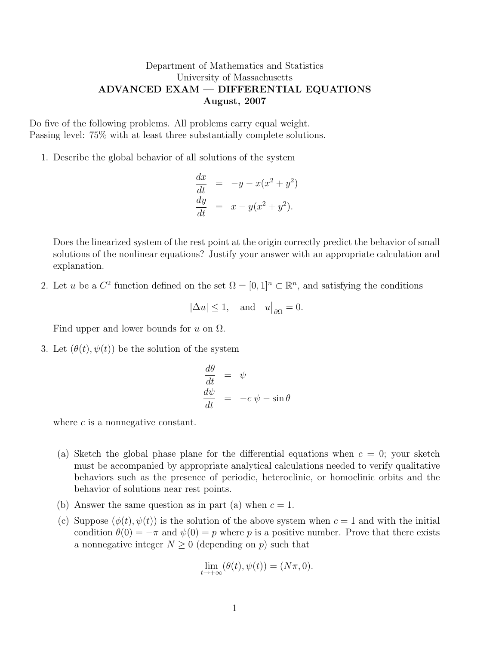## Department of Mathematics and Statistics University of Massachusetts ADVANCED EXAM — DIFFERENTIAL EQUATIONS August, 2007

Do five of the following problems. All problems carry equal weight. Passing level: 75% with at least three substantially complete solutions.

1. Describe the global behavior of all solutions of the system

$$
\frac{dx}{dt} = -y - x(x^2 + y^2)
$$
  

$$
\frac{dy}{dt} = x - y(x^2 + y^2).
$$

Does the linearized system of the rest point at the origin correctly predict the behavior of small solutions of the nonlinear equations? Justify your answer with an appropriate calculation and explanation.

2. Let u be a  $C^2$  function defined on the set  $\Omega = [0,1]^n \subset \mathbb{R}^n$ , and satisfying the conditions

$$
|\Delta u| \le 1
$$
, and  $u|_{\partial\Omega} = 0$ .

Find upper and lower bounds for  $u$  on  $\Omega$ .

3. Let  $(\theta(t), \psi(t))$  be the solution of the system

$$
\begin{array}{rcl}\n\frac{d\theta}{dt} & = & \psi \\
\frac{d\psi}{dt} & = & -c \psi - \sin \theta\n\end{array}
$$

where  $c$  is a nonnegative constant.

- (a) Sketch the global phase plane for the differential equations when  $c = 0$ ; your sketch must be accompanied by appropriate analytical calculations needed to verify qualitative behaviors such as the presence of periodic, heteroclinic, or homoclinic orbits and the behavior of solutions near rest points.
- (b) Answer the same question as in part (a) when  $c = 1$ .
- (c) Suppose  $(\phi(t), \psi(t))$  is the solution of the above system when  $c = 1$  and with the initial condition  $\theta(0) = -\pi$  and  $\psi(0) = p$  where p is a positive number. Prove that there exists a nonnegative integer  $N \geq 0$  (depending on p) such that

$$
\lim_{t \to +\infty} (\theta(t), \psi(t)) = (N\pi, 0).
$$